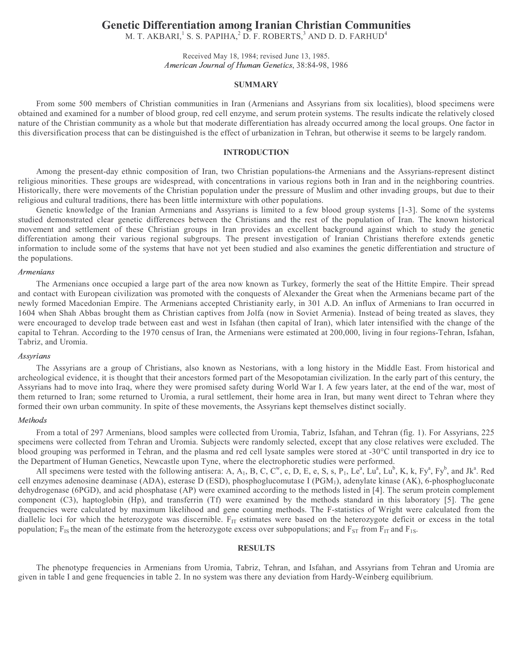# Genetic Differentiation among Iranian Christian Communities

M. T. AKBARI, $^1$  S. S. PAPIHA, $^2$  D. F. ROBERTS, $^3$  AND D. D. FARHUD $^4$ 

Received May 18, 1984; revised June 13, 1985. American Journal of Human Genetics, 38:84-98, 1986

# **SUMMARY**

From some 500 members of Christian communities in Iran (Armenians and Assyrians from six localities), blood specimens were obtained and examined for a number of blood group, red cell enzyme, and serum protein systems. The results indicate the relatively closed nature of the Christian community as a whole but that moderate differentiation has already occurred among the local groups. One factor in this diversification process that can be distinguished is the effect of urbanization in Tehran, but otherwise it seems to be largely random.

### INTRODUCTION

Among the present-day ethnic composition of Iran, two Christian populations-the Armenians and the Assyrians-represent distinct religious minorities. These groups are widespread, with concentrations in various regions both in Iran and in the neighboring countries. Historically, there were movements of the Christian population under the pressure of Muslim and other invading groups, but due to their religious and cultural traditions, there has been little intermixture with other populations.

Genetic knowledge of the Iranian Armenians and Assyrians is limited to a few blood group systems [1-3]. Some of the systems studied demonstrated clear genetic differences between the Christians and the rest of the population of Iran. The known historical movement and settlement of these Christian groups in Iran provides an excellent background against which to study the genetic differentiation among their various regional subgroups. The present investigation of Iranian Christians therefore extends genetic information to include some of the systems that have not yet been studied and also examines the genetic differentiation and structure of the populations.

### the contract of the contract of the contract of the contract of the contract of the contract of the contract of

The Armenians once occupied a large part of the area now known as Turkey, formerly the seat of the Hittite Empire. Their spread and contact with European civilization was promoted with the conquests of Alexander the Great when the Armenians became part of the newly formed Macedonian Empire. The Armenians accepted Christianity early, in 301 A.D. An influx of Armenians to Iran occurred in 1604 when Shah Abbas brought them as Christian captives from Jolfa (now in Soviet Armenia). Instead of being treated as slaves, they were encouraged to develop trade between east and west in Isfahan (then capital of Iran), which later intensified with the change of the capital to Tehran. According to the 1970 census of Iran, the Armenians were estimated at 200,000, living in four regions-Tehran, Isfahan, Tabriz, and Uromia.

### Assyrians

The Assyrians are a group of Christians, also known as Nestorians, with a long history in the Middle East. From historical and archeological evidence, it is thought that their ancestors formed part of the Mesopotamian civilization. In the early part of this century, the Assyrians had to move into Iraq, where they were promised safety during World War I. A few years later, at the end of the war, most of them returned to Iran; some returned to Uromia, a rural settlement, their home area in Iran, but many went direct to Tehran where they formed their own urban community. In spite of these movements, the Assyrians kept themselves distinct socially.

#### -

From a total of 297 Armenians, blood samples were collected from Uromia, Tabriz, Isfahan, and Tehran (fig. 1). For Assyrians, 225 specimens were collected from Tehran and Uromia. Subjects were randomly selected, except that any close relatives were excluded. The blood grouping was performed in Tehran, and the plasma and red cell lysate samples were stored at -30°C until transported in dry ice to the Department of Human Genetics, Newcastle upon Tyne, where the electrophoretic studies were performed.

All specimens were tested with the following antisera: A, A<sub>1</sub>, B, C, C<sup>w</sup>, c, D, E, e, S, s, P<sub>1</sub>, Le<sup>a</sup>, Lu<sup>a</sup>, Lu<sup>b</sup>, K, k, Fy<sup>a</sup>, Fy<sup>b</sup>, and Jk<sup>a</sup>. Red cell enzymes adenosine deaminase (ADA), esterase D (ESD), phosphoglucomutase I (PGM<sub>1</sub>), adenylate kinase (AK), 6-phosphogluconate dehydrogenase (6PGD), and acid phosphatase (AP) were examined according to the methods listed in [4]. The serum protein complement component (C3), haptoglobin (Hp), and transferrin (Tf) were examined by the methods standard in this laboratory [5]. The gene frequencies were calculated by maximum likelihood and gene counting methods. The F-statistics of Wright were calculated from the diallelic loci for which the heterozygote was discernible.  $F_{IT}$  estimates were based on the heterozygote deficit or excess in the total population;  $F_{IS}$  the mean of the estimate from the heterozygote excess over subpopulations; and  $F_{ST}$  from  $F_{IT}$  and  $F_{1S}$ .

# **RESULTS**

The phenotype frequencies in Armenians from Uromia, Tabriz, Tehran, and Isfahan, and Assyrians from Tehran and Uromia are given in table I and gene frequencies in table 2. In no system was there any deviation from Hardy-Weinberg equilibrium.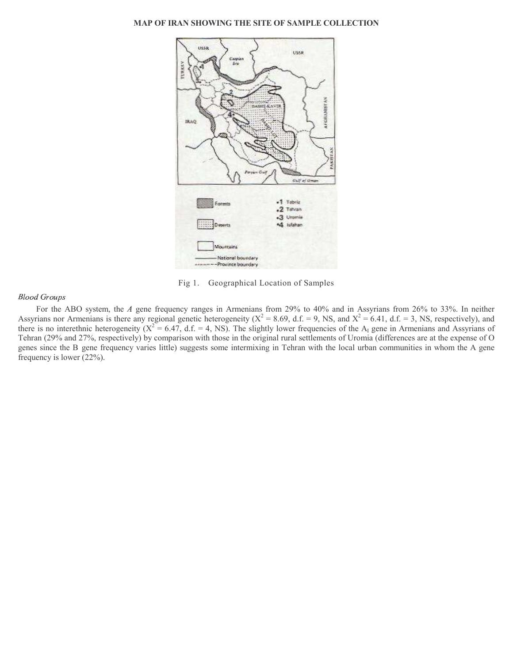# MAP OF IRAN SHOWING THE SITE OF SAMPLE COLLECTION



Fig 1.ó Geographical Location of Samples

### 

For the ABO system, the A gene frequency ranges in Armenians from 29% to 40% and in Assyrians from 26% to 33%. In neither Assyrians nor Armenians is there any regional genetic heterogeneity ( $X^2 = 8.69$ , d.f. = 9, NS, and  $X^2 = 6.41$ , d.f. = 3, NS, respectively), and there is no interethnic heterogeneity  $(X^2 = 6.47, d.f. = 4, NS)$ . The slightly lower frequencies of the A<sub>I</sub> gene in Armenians and Assyrians of Tehran (29% and 27%, respectively) by comparison with those in the original rural settlements of Uromia (differences are at the expense of O genes since the B gene frequency varies little) suggests some intermixing in Tehran with the local urban communities in whom the A gene frequency is lower (22%).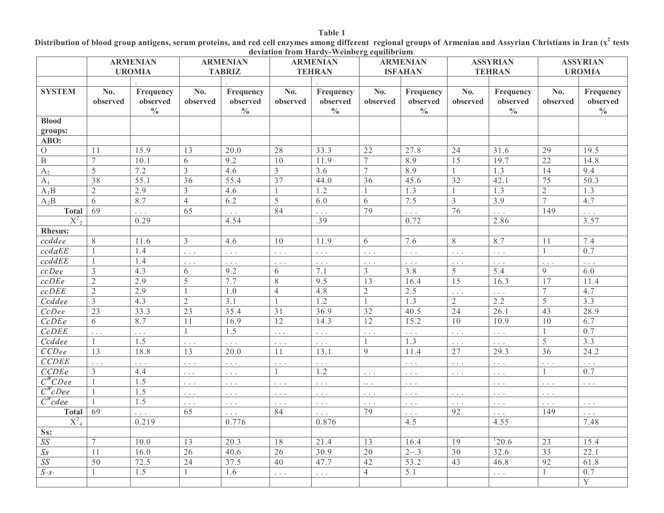# Distribution of blood group antigens, serum proteins, and red cell enzymes among different regional groups of Armenian and Assyrian Christians in Iran (x<sup>2</sup> tests deviation from Hardy-Weinberg equilibrium.

|                       | <b>ARMENIAN</b> |                                        | <b>ARMENIAN</b>  |                                        | <b>ARMENIAN</b>         |                                        | <b>ARMENIAN</b>      |                                        | <b>ASSYRIAN</b>                 |                                        | <b>ASSYRIAN</b> |                                        |
|-----------------------|-----------------|----------------------------------------|------------------|----------------------------------------|-------------------------|----------------------------------------|----------------------|----------------------------------------|---------------------------------|----------------------------------------|-----------------|----------------------------------------|
|                       |                 | <b>UROMIA</b>                          |                  | <b>TABRIZ</b>                          |                         | <b>TEHRAN</b>                          |                      | <b>ISFAHAN</b>                         |                                 | <b>TEHRAN</b>                          |                 | <b>UROMIA</b>                          |
|                       |                 |                                        |                  |                                        |                         |                                        |                      |                                        |                                 |                                        |                 |                                        |
| <b>SYSTEM</b>         | No.<br>observed | Frequency<br>observed<br>$\frac{0}{0}$ | No.<br>observed  | Frequency<br>observed<br>$\frac{0}{0}$ | No.<br>observed         | Frequency<br>observed<br>$\frac{0}{0}$ | No.<br>observed      | Frequency<br>observed<br>$\frac{0}{0}$ | No.<br>observed                 | Frequency<br>observed<br>$\frac{0}{0}$ | No.<br>observed | Frequency<br>observed<br>$\frac{0}{0}$ |
| <b>Blood</b>          |                 |                                        |                  |                                        |                         |                                        |                      |                                        |                                 |                                        |                 |                                        |
| groups:               |                 |                                        |                  |                                        |                         |                                        |                      |                                        |                                 |                                        |                 |                                        |
| ABO:                  |                 |                                        |                  |                                        |                         |                                        |                      |                                        |                                 |                                        |                 |                                        |
| $\mathcal{O}$         | 11              | 15.9                                   | $\overline{13}$  | 20.0                                   | $\overline{28}$         | 33.3                                   | $\overline{22}$      | 27.8                                   | 24                              | 31.6                                   | 29              | 19.5                                   |
| $\overline{B}$        | 7               | 10.1                                   | 6                | 9.2                                    | $\overline{10}$         | 11.9                                   | $\overline{7}$       | 8.9                                    | $\overline{15}$                 | 19.7                                   | $\overline{22}$ | 14.8                                   |
| A <sub>2</sub>        | $\overline{5}$  | 7.2                                    | $\overline{3}$   | 4.6                                    | $\overline{\mathbf{3}}$ | 3.6                                    | $\overline{7}$       | 8.9                                    | $\overline{1}$                  | 1.3                                    | $\overline{14}$ | 9.4                                    |
| $A_1$                 | $\overline{38}$ | 55.1                                   | $\overline{36}$  | 55.4                                   | 37                      | 44.0                                   | $\overline{36}$      | 45.6                                   | $\overline{32}$                 | 42.1                                   | $\overline{75}$ | 50.3                                   |
| $A_1B$                | 2               | 2.9                                    | $\mathfrak{Z}$   | 4.6                                    | 1                       | 1.2                                    |                      | $\overline{1.3}$                       | $\mathbf{1}$                    | 1.3                                    | $\overline{2}$  | 1.3                                    |
| $A_2B$                | 6               | 8.7                                    | $\overline{4}$   | 6.2                                    | $\overline{5}$          | 6.0                                    | 6                    | 7.5                                    | $\overline{3}$                  | 3.9                                    | $\overline{7}$  | 4.7                                    |
| <b>Total</b>          | 69              | .                                      | 65               | $\cdots$                               | 84                      | $\cdots$                               | 79                   | .                                      | 76                              | $\cdots$                               | 149             | $\mathbb{Z}^2$ .                       |
| $X^2$ <sub>2</sub>    |                 | 0.29                                   |                  | 4.54                                   |                         | .39                                    |                      | 0.72                                   |                                 | 2.86                                   |                 | 3.57                                   |
| <b>Rhesus:</b>        |                 |                                        |                  |                                        |                         |                                        |                      |                                        |                                 |                                        |                 |                                        |
| ccddee                | 8               | 11.6                                   | $\overline{3}$   | 4.6                                    | $\overline{10}$         | 11.9                                   | 6                    | 7.6                                    | 8                               | 8.7                                    | 11              | 7.4                                    |
| ccdaEE                |                 | 1.4                                    | $\mathbb{Z}^2$ . | $\cdots$                               | $\Box$ $\Box$           | $\Box$ $\Box$                          | $\Box$ .             | $\Box$ .                               | $\sim$ $\pm$ $\pm$              | $\Box$ .                               |                 | 0.7                                    |
| ccddEE                | 1               | 1.4                                    | $\ldots$         | $\Box$ .                               | $\Box$ .                | $\Box$ .                               | $\sim$ $\sim$ $\sim$ | $\Box$ .                               | $\mathbb{Z}^2$ . $\mathbb{Z}^2$ | $\ldots$                               | $\ldots$        | $\ldots$                               |
| $ccDee$               | $\mathfrak{Z}$  | 4.3                                    | 6                | 9.2                                    | 6                       | 7.1                                    | 3                    | 3.8                                    | 5                               | 5.4                                    | 9               | 6.0                                    |
| ccDEe                 | $\overline{2}$  | 2.9                                    | 5                | 7.7                                    | 8                       | 9.5                                    | $\overline{13}$      | 16.4                                   | $\overline{15}$                 | 16.3                                   | 17              | 11.4                                   |
| ccDEE                 | $\mathfrak{2}$  | 2.9                                    |                  | 1.0                                    | $\overline{4}$          | 4.8                                    | $\sqrt{2}$           | 2.5                                    | $\overline{\mathbb{Z}}$ .       | $\overline{\mathbb{R}}$ .              | 7               | 4.7                                    |
| Ccddee                | $\mathfrak{Z}$  | 4.3                                    | $\mathbf{2}$     | 3.1                                    | $\mathbf{1}$            | 1.2                                    |                      | 1.3                                    | $\overline{2}$                  | 2.2                                    | 5               | 3.3                                    |
| CcDee                 | $\overline{23}$ | 33.3                                   | $\overline{23}$  | 35.4                                   | $\overline{31}$         | 36.9                                   | $\overline{32}$      | 40.5                                   | $\overline{24}$                 | 26.1                                   | $\overline{43}$ | 28.9                                   |
| CcDEe                 | 6               | 8.7                                    | 11               | 16.9                                   | $\overline{12}$         | 14.3                                   | $\overline{12}$      | 15.2                                   | $\overline{10}$                 | 10.9                                   | $\overline{10}$ | 6.7                                    |
| CcDEE                 | $\ldots$        | .                                      | $\mathbf{1}$     | 1.5                                    | $\Box$ .                | $\mathbb{Z}^{\mathbb{Z}}$ .            | $\mathbb{Z}^2$ .     | $\ldots$                               | $\cdot$ $\pm$                   | $\overline{\mathbb{R}}$ .              | $\mathbf{1}$    | 0.7                                    |
| Ccddee                | -1              | 1.5                                    | .                | $\cdots$                               | $\ldots$                | $\ldots$                               |                      | 1.3                                    | $\Box$ .                        | .                                      | 5               | 3.3                                    |
| CCDee                 | 13              | 18.8                                   | 13               | 20.0                                   | 11                      | 13.1                                   | $\mathbf{Q}$         | 11.4                                   | 27                              | 29.3                                   | $\overline{36}$ | 24.2                                   |
| <b>CCDEE</b>          | $\cdots$        | .                                      | $\Box$ $\Box$    | $\sim$ $\sim$ $\sim$                   | $\Box$ .                | $\ldots$                               |                      | $\Box$ .                               | $\Box$ $\Box$                   | $\mathbb{R}^2$                         | $\ldots$        | $\ldots$                               |
| CCDEe                 | 3               | 4.4                                    | $\ldots$         | $\cdots$                               | $\mathbf{1}$            | 1.2                                    | $\Box$ .             | $\Box$ .                               | $\Box$ $\Box$                   | $\Box$ .                               | $\mathbf{1}$    | 0.7                                    |
| $C^W CDee$            | $\mathbf{1}$    | 1.5                                    | $\Box$ .         | $\ldots$                               | $\Box$ $\Box$           | $\ldots$                               | $\cdots$             | $\Box$ .                               |                                 | $\ldots$                               | $\ldots$        | $\Box$ .                               |
| $\overline{C^WcDe}$ e |                 | 1.5                                    | $\ldots$         | $\sim$ $\sim$ $\sim$                   | $\Box$ .                | $\ldots$                               | $\ldots$             | $\Box$ .                               | $\Box$ .                        | $\ldots$                               | $\ldots$        |                                        |
| $C^W$ cdee            | $\mathbf{1}$    | 1.5                                    | $\Box$ .         | $\sim$ $\sim$ $\sim$                   | $\Box$ .                | $\Box$ .                               | $\sim$ .             | $\Box$ .                               | $\Box$ $\Box$                   | $\Box$ .                               | $\Box$ .        | $\mathbb{Z}^2$ , $\mathbb{Z}^2$        |
| Total                 | 69              | $\ddotsc$                              | 65               | $\cdots$                               | 84                      | $\mathbb{R}^2$                         | 79                   | $\ldots$                               | 92                              | $\cdots$                               | 149             | $\Box$ .                               |
| $X^2_{4}$             |                 | 0.219                                  |                  | 0.776                                  |                         | 0.876                                  |                      | 4.5                                    |                                 | 4.55                                   |                 | 7.48                                   |
| Ss:                   |                 |                                        |                  |                                        |                         |                                        |                      |                                        |                                 |                                        |                 |                                        |
| $\overline{SS}$       | 7               | 10.0                                   | 13               | 20.3                                   | 18                      | 21.4                                   | 13                   | 16.4                                   | 19                              | 120.6                                  | 23              | 15.4                                   |
| S <sub>S</sub>        | 11              | 16.0                                   | $\overline{26}$  | 40.6                                   | $\overline{26}$         | 30.9                                   | $\overline{20}$      | $2{\sim}.3$                            | $\overline{30}$                 | 32.6                                   | $\overline{33}$ | 22.1                                   |
| $\overline{SS}$       | $\overline{50}$ | 72.5                                   | 24               | 37.5                                   | $\overline{40}$         | 47.7                                   | 42                   | 53.2                                   | $\overline{43}$                 | 46.8                                   | $\overline{92}$ | 61.8                                   |
| $S-S-$                |                 | 1.5                                    | 1                | 1.6                                    | $\Box$ .                | $\Box$ .                               | $\overline{4}$       | 5.1                                    |                                 | $\cdots$                               |                 | 0.7                                    |
|                       |                 |                                        |                  |                                        |                         |                                        |                      |                                        |                                 |                                        |                 | Y                                      |

# Table 1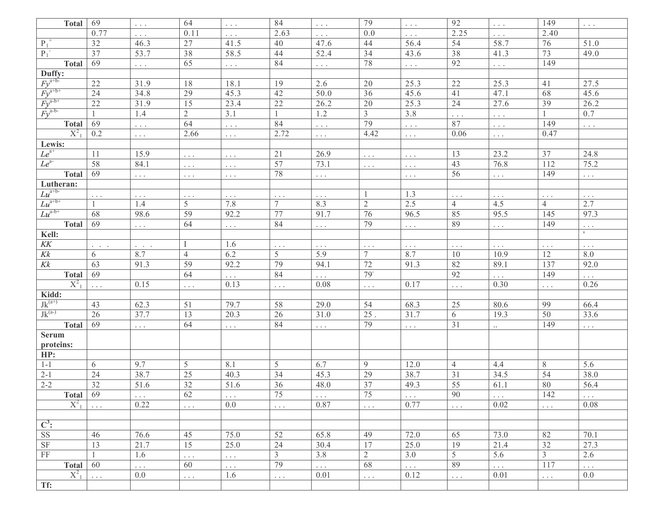| <b>Total</b>                    | 69                                               | $\Box$ .              | 64              | $\Box$ .             | 84             | $\Box$ .             | 79              | $\Box$ .             | 92                   | $\Box$ .                  | 149              | $\Box$ .             |
|---------------------------------|--------------------------------------------------|-----------------------|-----------------|----------------------|----------------|----------------------|-----------------|----------------------|----------------------|---------------------------|------------------|----------------------|
|                                 | 0.77                                             | $\ldots$              | 0.11            | $\sim$ $\sim$ $\sim$ | 2.63           | $\sim$ $\sim$ $\sim$ | 0.0             | $\sim$ $\sim$ $\sim$ | 2.25                 | $\Box$ .                  | 2.40             |                      |
| $P_1^+$                         | 32                                               | 46.3                  | 27              | 41.5                 | 40             | 47.6                 | 44              | 56.4                 | 54                   | 58.7                      | 76               | 51.0                 |
| $P_1^-$                         | $\overline{37}$                                  | 53.7                  | 38              | 58.5                 | 44             | 52.4                 | $\overline{34}$ | 43.6                 | $\overline{38}$      | 41.3                      | 73               | 49.0                 |
| <b>Total</b>                    | 69                                               | $\Box$ $\Box$         | 65              | $\sim$ $\sim$ $\sim$ | 84             | $\Box$ .             | 78              | $\Box$ $\Box$        | 92                   | $\overline{\mathbb{R}}$ . | 149              |                      |
| Duffy:                          |                                                  |                       |                 |                      |                |                      |                 |                      |                      |                           |                  |                      |
| $Fy^{a+b-}$                     | $22\,$                                           | 31.9                  | 18              | 18.1                 | 19             | 2.6                  | $20\,$          | 25.3                 | 22                   | 25.3                      | 41               | 27.5                 |
|                                 | $\overline{24}$                                  | 34.8                  | 29              | 45.3                 | 42             | 50.0                 | $\overline{36}$ | 45.6                 | 41                   | 47.1                      | 68               | 45.6                 |
| $\frac{F y^{a+b+}}{F y^{a-b+}}$ | $\overline{22}$                                  | 31.9                  | 15              | 23.4                 | $2\sqrt{2}$    | 26.2                 | $20\,$          | 25.3                 | 24                   | 27.6                      | 39               | 26.2                 |
| $Fv^{a-b-}$                     |                                                  | 1.4                   | $\overline{2}$  | 3.1                  | 1              | $1.2\,$              | $\overline{3}$  | 3.8                  | $\sim$ $\sim$ $\sim$ | $\overline{\mathbb{R}}$ . |                  | 0.7                  |
| <b>Total</b>                    | 69                                               | $\Box$ $\Box$         | 64              | $\sim$ $\sim$ $\sim$ | 84             | $\Box$ .             | 79              | $\ldots$             | 87                   | $\overline{\mathbb{R}}$ . | 149              | $\Box$ $\Box$        |
| $X^2$ <sub>1</sub>              | 0.2                                              | $\Box$ .              | 2.66            | $\Box$ .             | 2.72           | $\Box$ $\Box$        | 4.42            | $\Box$ .             | 0.06                 | $\Box$ .                  | 0.47             |                      |
| Lewis:                          |                                                  |                       |                 |                      |                |                      |                 |                      |                      |                           |                  |                      |
| $Le^{a+}$                       | 11                                               | 15.9                  | $\Box$ .        | $\Box$ $\Box$        | 21             | 26.9                 | $\Box$ $\Box$   | $\Box$ .             | 13                   | 23.2                      | 37               | 24.8                 |
| $Le^{a}$                        | 58                                               | 84.1                  | $\Box$ .        | $\Box$ .             | 57             | 73.1                 | $\Box$ .        | $\Box$ .             | 43                   | 76.8                      | 112              | 75.2                 |
| <b>Total</b>                    | 69                                               | $\sim$ $\sim$ $\sim$  | $\Box$ $\Box$   | $\sim$ $\sim$ $\sim$ | 78             | $\Box$ .             |                 | $\Box$ .             | 56                   | $\Box$ .                  | 149              | $\sim$ $\sim$ $\sim$ |
| Lutheran:                       |                                                  |                       |                 |                      |                |                      |                 |                      |                      |                           |                  |                      |
| $Lu^{a+b}$                      | $\Box$ .                                         | $\Box$ .              | $\Box$ .        | $\Box$ .             | $\Box$ $\Box$  | $\Box$ .             |                 | 1.3                  | $\sim$ $\sim$ $\sim$ | $\Box$ .                  | $\Box$ .         | $\Box$ .             |
| $Lu^{a+b+}$                     |                                                  | 1.4                   | 5               | 7.8                  | 7              | 8.3                  | $\sqrt{2}$      | 2.5                  | $\overline{4}$       | 4.5                       | $\overline{4}$   | 2.7                  |
| $Lu^{a-b+}$                     | 68                                               | 98.6                  | 59              | 92.2                 | 77             | 91.7                 | 76              | 96.5                 | 85                   | 95.5                      | 145              | 97.3                 |
| <b>Total</b>                    | 69                                               | $\sim$ $\sim$ $\sim$  | 64              | $\sim$ $\sim$ $\sim$ | 84             | $\Box$ $\Box$        | 79              | $\Box$ .             | 89                   | $\Box$ .                  | 149              | $\Box$ .             |
| Kell:                           |                                                  |                       |                 |                      |                |                      |                 |                      |                      |                           |                  |                      |
| $K\!K$                          | $\mathbb{Z}^n$ , $\mathbb{Z}^n$ , $\mathbb{Z}^n$ | $\omega = 1/\sqrt{2}$ |                 | 1.6                  | $\Box$ $\Box$  | $\Box$ .             | $\Box$ .        | $\Box$ .             | $\sim$ $\sim$ $\sim$ | $\Box$ .                  | $\ldots$         | $\ldots$             |
| $K\!k$                          | 6                                                | 8.7                   | $\overline{4}$  | 6.2                  | 5              | 5.9                  | 7               | 8.7                  | 10                   | 10.9                      | 12               | 8.0                  |
| Kk                              | 63                                               | 91.3                  | 59              | 92.2                 | 79             | 94.1                 | 72              | 91.3                 | 82                   | 89.1                      | 137              | 92.0                 |
| <b>Total</b>                    | 69                                               |                       | 64              | $\cdots$             | 84             | .                    | $79-$           |                      | 92                   | $\ldots$                  | 149              | $\ldots$             |
| $X^2$ <sub>1</sub>              | $\ldots$                                         | 0.15                  | $\Box$ .        | 0.13                 | $\Box$ .       | 0.08                 | $\Box$ .        | 0.17                 | $\Box$ .             | 0.30                      | $\ldots$         | 0.26                 |
| Kidd:                           |                                                  |                       |                 |                      |                |                      |                 |                      |                      |                           |                  |                      |
| $Jk^{(a+)}$                     | 43                                               | 62.3                  | 51              | 79.7                 | 58             | 29.0                 | 54              | 68.3                 | 25                   | 80.6                      | 99               | 66.4                 |
| $Jk^{(a)}$                      | $\overline{26}$                                  | 37.7                  | 13              | 20.3                 | 26             | 31.0                 | 25.             | 31.7                 | 6                    | 19.3                      | 50               | 33.6                 |
| <b>Total</b>                    | 69                                               | $\Box$ .              | 64              | $\Box$ .             | 84             | $\Box$ .             | 79              | $\Box$ .             | 31                   | $\ldots$                  | 149              | $\Box$ .             |
| <b>Serum</b>                    |                                                  |                       |                 |                      |                |                      |                 |                      |                      |                           |                  |                      |
| proteins:                       |                                                  |                       |                 |                      |                |                      |                 |                      |                      |                           |                  |                      |
| HP:                             |                                                  |                       |                 |                      |                |                      |                 |                      |                      |                           |                  |                      |
| $1 - 1$                         | 6                                                | 9.7                   | 5               | 8.1                  | 5              | 6.7                  | 9               | 12.0                 | $\overline{4}$       | 4.4                       | $8\,$            | 5.6                  |
| $2 - 1$                         | 24                                               | 38.7                  | 25              | 40.3                 | 34             | 45.3                 | 29              | 38.7                 | 31                   | 34.5                      | 54               | 38.0                 |
| $2 - 2$                         | $\overline{32}$                                  | 51.6                  | $\overline{32}$ | 51.6                 | 36             | 48.0                 | $\overline{37}$ | 49.3                 | $\overline{55}$      | 61.1                      | 80               | 56.4                 |
| Total 69                        |                                                  | $\sim$ $\sim$ $\sim$  | 62              | $\sim$ $\sim$ $\sim$ | 75             | $\sim$ $\sim$ $\sim$ | 75              | $\sim$ $\sim$ $\sim$ | 90                   | $\sim$ $\sim$ $\sim$      | $\overline{142}$ | $\sim$ $\sim$ $\sim$ |
| $X_{-1}^2$                      | $\Box$ .                                         | 0.22                  | $\Box$ .        | 0.0                  | $\Box$ $\Box$  | 0.87                 | $\Box$ $\Box$   | 0.77                 | $\Box$ .             | 0.02                      | $\Box$ .         | 0.08                 |
|                                 |                                                  |                       |                 |                      |                |                      |                 |                      |                      |                           |                  |                      |
| $\overline{C^3}$ :              |                                                  |                       |                 |                      |                |                      |                 |                      |                      |                           |                  |                      |
| $\rm SS$                        | 46                                               | 76.6                  | 45              | 75.0                 | 52             | 65.8                 | 49              | 72.0                 | 65                   | 73.0                      | 82               | 70.1                 |
| SF                              | $\overline{13}$                                  | 21.7                  | $\overline{15}$ | 25.0                 | 24             | 30.4                 | 17              | 25.0                 | 19                   | 21.4                      | $\overline{32}$  | 27.3                 |
| $\overline{\text{FF}}$          | $\mathbf{1}$                                     | 1.6                   | $\Box$ .        | $\Box$ .             | $\mathfrak{Z}$ | 3.8                  | $\overline{2}$  | 3.0                  | $\overline{5}$       | 5.6                       | $\mathfrak{Z}$   | 2.6                  |
| <b>Total</b>                    | 60                                               | $\Box$ .              | 60              | $\Box$ .             | 79             | $\Box$ .             | 68              | $\Box$ .             | 89                   | $\Box$ $\Box$             | 117              | $\Box$ .             |
| $X_1^2$                         | $\sim$ $\sim$ $\sim$                             | 0.0                   | $\Box$ .        | 1.6                  | $\Box$ .       | 0.01                 | $\Box$ .        | 0.12                 | $\Box$ .             | 0.01                      | $\Box$ .         | 0.0                  |
| Tf:                             |                                                  |                       |                 |                      |                |                      |                 |                      |                      |                           |                  |                      |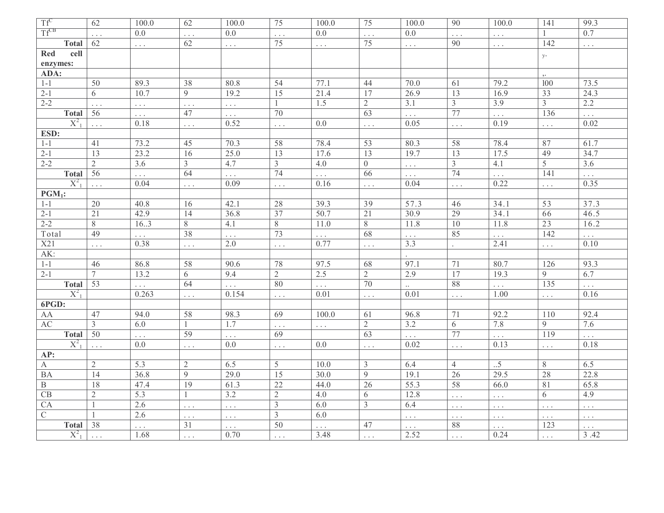| $Tf^C$                 | 62              | 100.0                | 62              | 100.0                           | 75              | 100.0                | 75                    | 100.0    | 90                    | $100.0\,$                       | 141             | 99.3             |
|------------------------|-----------------|----------------------|-----------------|---------------------------------|-----------------|----------------------|-----------------------|----------|-----------------------|---------------------------------|-----------------|------------------|
| $Tf^{CB}$              | $\ldots$        | 0.0                  | .               | 0.0                             |                 | 0.0                  |                       | 0.0      | .                     | $\Box$ .                        |                 | 0.7              |
| <b>Total</b>           | 62              | $\sim$ $\sim$ $\sim$ | 62              | $\mathbb{Z}^2$ .                | 75              | $\ldots$             | 75                    | $\cdots$ | 90                    | $\mathbb{Z}^2$ . $\mathbb{Z}^2$ | 142             | $\Box$ .         |
| Red<br>cell            |                 |                      |                 |                                 |                 |                      |                       |          |                       |                                 | $\mathbf{y}$ .  |                  |
| enzymes:               |                 |                      |                 |                                 |                 |                      |                       |          |                       |                                 |                 |                  |
| ADA:                   |                 |                      |                 |                                 |                 |                      |                       |          |                       |                                 |                 |                  |
| $1 - 1$                | 50              | 89.3                 | 38              | 80.8                            | 54              | 77.1                 | 44                    | 70.0     | 61                    | 79.2                            | 100             | 73.5             |
| $2 - 1$                | 6               | 10.7                 | 9               | 19.2                            | 15              | 21.4                 | 17                    | 26.9     | $\overline{13}$       | 16.9                            | $\overline{33}$ | 24.3             |
| $2 - 2$                | $\Box$ .        | $\Box$ .             | $\ldots$        | $\sim$ $\sim$ $\sim$            | -1              | 1.5                  | $\overline{2}$        | 3.1      | $\mathfrak{Z}$        | 3.9                             | $\overline{3}$  | 2.2              |
| <b>Total</b>           | 56              | $\cdots$             | 47              | $\cdots$                        | $\overline{70}$ |                      | 63                    | $\ldots$ | 77                    | $\bar{\mathbb{Z}}$ .            | 136             | $\ldots$         |
| $X^2$ <sub>1</sub>     | $\Box$ .        | 0.18                 | $\cdots$        | 0.52                            | .               | 0.0                  | $\ldots$              | 0.05     | $\Box$ .              | 0.19                            | $\Box$ .        | 0.02             |
| ESD:                   |                 |                      |                 |                                 |                 |                      |                       |          |                       |                                 |                 |                  |
| $1 - 1$                | 41              | 73.2                 | 45              | 70.3                            | 58              | 78.4                 | 53                    | 80.3     | 58                    | 78.4                            | 87              | 61.7             |
| $2 - 1$                | $\overline{13}$ | 23.2                 | 16              | 25.0                            | $\overline{13}$ | 17.6                 | $\overline{13}$       | 19.7     | $\overline{13}$       | 17.5                            | 49              | 34.7             |
| $2 - 2$                | $\overline{2}$  | 3.6                  | $\overline{3}$  | 4.7                             | $\overline{3}$  | 4.0                  | $\overline{0}$        | $\ldots$ | $\mathfrak{Z}$        | 4.1                             | $\overline{5}$  | $\overline{3.6}$ |
| <b>Total</b>           | 56              | .                    | 64              |                                 | 74              | $\Box$ .             | 66                    | $\ldots$ | 74                    | $\ldots$                        | 141             |                  |
| $X_{-1}^2$             | $\Box$ .        | 0.04                 | .               | 0.09                            | .               | 0.16                 | $\bar{z}$ , $\bar{z}$ | 0.04     | $\Box$ .              | 0.22                            | $\mathbb{R}^2$  | 0.35             |
| $PGM_1$ :              |                 |                      |                 |                                 |                 |                      |                       |          |                       |                                 |                 |                  |
| $1-1$                  | $20\,$          | 40.8                 | 16              | 42.1                            | 28              | 39.3                 | 39                    | 57.3     | 46                    | 34.1                            | 53              | 37.3             |
| $2 - 1$                | $\overline{21}$ | 42.9                 | $\overline{14}$ | 36.8                            | $\overline{37}$ | 50.7                 | $\overline{21}$       | 30.9     | $\overline{29}$       | 34.1                            | 66              | 46.5             |
| $2 - 2$                | 8               | 16.3                 | 8               | 4.1                             | $8\,$           | $11.0$               | 8                     | 11.8     | 10                    | 11.8                            | $\overline{23}$ | 16.2             |
| Total                  | 49              |                      | 38              | .                               | 73              | $\cdots$             | 68                    |          | 85                    | $\ldots$                        | 142             |                  |
| X21                    | .               | 0.38                 | .               | 2.0                             | .               | 0.77                 | $\ldots$              | 3.3      |                       | 2.41                            | $\ldots$        | 0.10             |
| AK:                    |                 |                      |                 |                                 |                 |                      |                       |          |                       |                                 |                 |                  |
| $1 - 1$                | 46              | 86.8                 | 58              | 90.6                            | 78              | 97.5                 | 68                    | 97.1     | 71                    | 80.7                            | 126             | 93.3             |
| $2 - 1$                | $\tau$          | 13.2                 | 6               | 9.4                             | 2               | 2.5                  | $\overline{2}$        | 2.9      | 17                    | 19.3                            | 9               | 6.7              |
| <b>Total</b>           | 53              | .                    | 64              | $\cdots$                        | 80              | $\ldots$             | 70                    |          | 88                    | $\cdots$                        | 135             | $\ldots$         |
| $X^2_{-1}$             |                 | 0.263                | $\cdots$        | 0.154                           | $\Box$ .        | 0.01                 | $\ldots$              | 0.01     | $\Box$ .              | 1.00                            | $\Box$ .        | 0.16             |
| 6PGD:                  |                 |                      |                 |                                 |                 |                      |                       |          |                       |                                 |                 |                  |
| AA                     | 47              | 94.0                 | 58              | 98.3                            | 69              | 100.0                | 61                    | 96.8     | 71                    | 92.2                            | 110             | 92.4             |
| $\mathbf{A}\mathbf{C}$ | 3               | 6.0                  |                 | 1.7                             | $\Box$ .        | $\bar{\mathbb{Z}}$ . | $\overline{2}$        | 3.2      | 6                     | 7.8                             | 9               | 7.6              |
| <b>Total</b>           | 50              | $\ldots$             | 59              | $\ldots$                        | 69              |                      | 63                    | $\cdots$ | 77                    | .                               | 119             | .                |
| $X^2$                  | .               | 0.0                  | $\cdots$        | 0.0                             | $\Box$ .        | 0.0                  | $\ldots$              | 0.02     | $\Box$ .              | 0.13                            | $\cdots$        | 0.18             |
| AP:                    |                 |                      |                 |                                 |                 |                      |                       |          |                       |                                 |                 |                  |
| $\mathbf{A}$           | $\overline{2}$  | 5.3                  | $\overline{2}$  | 6.5                             | 5               | 10.0                 | 3                     | 6.4      | $\overline{4}$        | $\cdot .5$                      | 8               | 6.5              |
| <b>BA</b>              | 14              | 36.8                 | 9               | 29.0                            | 15              | 30.0                 | 9                     | 19.1     | 26                    | 29.5                            | 28              | 22.8             |
| $\, {\bf B}$           | 18              | 47.4                 | 19              | 61.3                            | $\overline{22}$ | 44.0                 | 26                    | 55.3     | 58                    | 66.0                            | 81              | 65.8             |
| CB                     | $\overline{2}$  | 5.3                  | $\mathbf{1}$    | $\overline{3.2}$                | $\overline{2}$  | 4.0                  | 6                     | 12.8     | $\ldots$              | $\Box$ .                        | 6               | 4.9              |
| CA                     |                 | 2.6                  | $\cdots$        | $\sim$ $\sim$                   | $\overline{3}$  | 6.0                  | $\overline{3}$        | 6.4      | $\Box$ .              | .                               | $\ldots$        | $\ldots$         |
| $\mathbf C$            |                 | 2.6                  | $\cdots$        | $\mathbb{Z}^2$ . $\mathbb{Z}^2$ | $\mathfrak{Z}$  | 6.0                  |                       | $\ldots$ | $\cdot$ $\cdot$ $\pm$ | $\Box$ $\Box$                   | $\cdot$ , $\pm$ | $\ldots$         |
| <b>Total</b>           | 38              | .                    | 31              | $\Box$ .                        | 50              | $\ddotsc$            | 47                    | $\cdots$ | 88                    | .                               | 123             | $\Box$ .         |
| $X^2$ <sub>1</sub>     |                 | 1.68                 | $\cdots$        | 0.70                            |                 | 3.48                 |                       | 2.52     | $\ldots$              | 0.24                            | $\cdot$ $\cdot$ | 3.42             |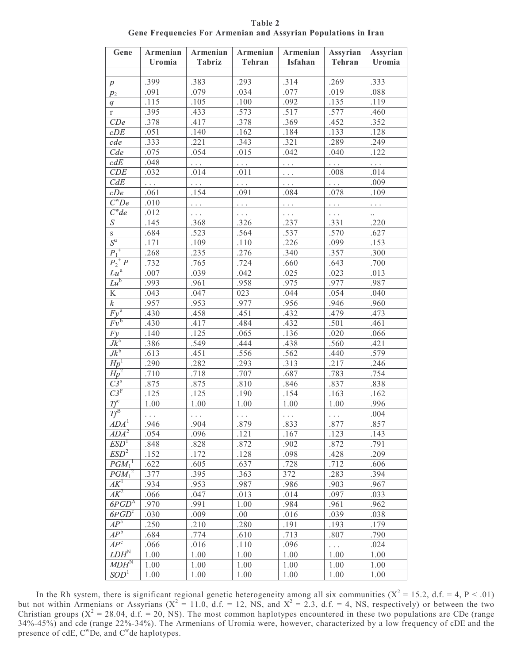| Gene                             | Armenian          | Armenian             | Armenian              | Armenian             | Assyrian             | Assyrian      |
|----------------------------------|-------------------|----------------------|-----------------------|----------------------|----------------------|---------------|
|                                  | Uromia            | <b>Tabriz</b>        | <b>Tehran</b>         | Isfahan              | <b>Tehran</b>        | <b>Uromia</b> |
|                                  | .399              | .383                 | .293                  | .314                 | .269                 | .333          |
| $\boldsymbol{p}$                 | .091              | .079                 | .034                  | .077                 | .019                 | .088          |
| $p_2$                            | .115              |                      | .100                  | .092                 | .135                 |               |
| q                                | .395              | .105<br>.433         | .573                  | .517                 |                      | .119<br>.460  |
| $\mathbf r$                      | .378              | .417                 |                       |                      | .577                 |               |
| CDe                              | .051              | .140                 | .378<br>.162          | .369<br>.184         | .452                 | .352          |
| cDE                              | .333              |                      |                       |                      | .133<br>.289         | .128          |
| cde                              | .075              | .221<br>.054         | .343<br>.015          | .321<br>.042         | .040                 | .249<br>.122  |
| Cde                              |                   |                      |                       |                      |                      |               |
| c dE                             | .048              | $\pm$ .              | $\bar{z}$ , $\bar{z}$ | $\Box$ .             | $\mathbb{R}^2$       | $\Box$ .      |
| CDE                              | .032              | .014                 | .011                  | $\sim$ $\sim$ $\sim$ | .008                 | .014          |
| CdE                              | $\Box$ .          | $\sim$ $\sim$ $\sim$ | $\sim$ $\sim$ $\sim$  | $\sim$ $\sim$ $\sim$ | $\mathbb{R}^2$       | .009          |
| cDe<br>$\overline{C^wDe}$        | .061              | .154                 | .091                  | .084                 | .078                 | .109          |
|                                  | .010              | $\sim$ $\sim$ $\sim$ | $\sim$ $\sim$ $\sim$  | $\Box$ .             | $\sim$ $\sim$ $\sim$ | $\Box$ .      |
| $\overline{C^{\prime \prime}de}$ | .012              | $\sim$ $\sim$ $\sim$ | $\sim$ $\sim$ $\sim$  | $\Box$ $\Box$        | $\sim$ $\sim$ $\sim$ | $\ddots$      |
| S                                | .145              | .368                 | .326                  | .237                 | .331                 | .220          |
| $\overline{\mathbf{s}}$          | .684              | .523                 | .564                  | .537                 | .570                 | .627          |
| $S^{\mathrm{u}}$                 | .171              | .109                 | .110                  | .226                 | .099                 | .153          |
| $P_{1}^{\;+}$                    | .268              | .235                 | .276                  | .340                 | .357                 | .300          |
| $P_2^{\dagger} P$                | .732              | .765                 | .724                  | .660                 | .643                 | .700          |
| $Lu^a$                           | .007              | .039                 | .042                  | .025                 | .023                 | .013          |
| $\overline{Lu}^b$                | .993              | .961                 | .958                  | .975                 | .977                 | .987          |
| $\rm K$                          | .043              | .047                 | 023                   | .044                 | .054                 | .040          |
| $\overline{k}$                   | .957              | .953                 | .977                  | .956                 | .946                 | .960          |
| $\overline{Fy^a}$                | .430              | .458                 | .451                  | .432                 | .479                 | .473          |
| $Fv^b$                           | $.43\overline{0}$ | $.41\overline{7}$    | .484                  | .432                 | .501                 | .461          |
| Fy                               | .140              | .125                 | .065                  | .136                 | .020                 | .066          |
| $J\overline{k^a}$                | .386              | .549                 | .444                  | .438                 | .560                 | .421          |
| $Jk^{\mathfrak{b}}$              | .613              | .451                 | .556                  | .562                 | .440                 | .579          |
| $\overline{Hp}^1$                | .290              | .282                 | .293                  | .313                 | .217                 | .246          |
| $Hp^2$                           | .710              | .718                 | .707                  | .687                 | .783                 | .754          |
| $\overline{C3}^s$                | .875              | .875                 | .810                  | .846                 | .837                 | .838          |
| $\overline{C3^F}$                | .125              | .125                 | .190                  | .154                 | .163                 | .162          |
| $\overline{If}^{\mathfrak{e}}$   | 1.00              | 1.00                 | 1.00                  | 1.00                 | 1.00                 | .996          |
| $Tf^{\beta}$                     |                   | $\cdots$             | $\sim$ $\sim$ $\sim$  | $\sim$ $\sim$ $\sim$ | $\sim$ $\sim$ $\sim$ | .004          |
| ADA <sup>"</sup>                 | .946              | .904                 | .879                  | .833                 | .877                 | .857          |
| $ADA^2$                          | .054              | .096                 | .121                  | .167                 | .123                 | .143          |
| ESD <sup>T</sup>                 | .848              | .828                 | .872                  | .902                 | .872                 | .791          |
| $\overline{ESD}^2$               | .152              | .172                 | .128                  | .098                 | .428                 | .209          |
| $PGM_1^{\perp}$                  | .622              | .605                 | .637                  | .728                 | .712                 | .606          |
| $\overline{PGM_1}^2$             | .377              | .395                 | .363                  | 372                  | .283                 | .394          |
| $\overline{AK}^1$                | .934              | .953                 | .987                  | .986                 | .903                 | .967          |
| $A\overline{K^2}$                | .066              | .047                 | .013                  | .014                 | .097                 | .033          |
| $6\overline{PGD}$ <sup>A</sup>   | .970              | .991                 | 1.00                  | .984                 | .961                 | .962          |
| $6PGD^c$                         | .030              | .009                 | .00                   | .016                 | .039                 | .038          |
| $\overline{AP}^a$                | .250              | .210                 | .280                  | .191                 | .193                 | .179          |
| $\overline{AP^b}$                | .684              | .774                 | .610                  | .713                 | .807                 | .790          |
| $\overline{AP^c}$                | .066              | .016                 | .110                  | .096                 | $\cdots$             | .024          |
| $LDH^N$                          | 1.00              | 1.00                 | 1.00                  | 1.00                 | 1.00                 | 1.00          |
| $MDH^N$                          | 1.00              | 1.00                 | 1.00                  | 1.00                 | 1.00                 | 1.00          |
| $SOD^1$                          | 1.00              | 1.00                 | 1.00                  | 1.00                 | 1.00                 | 1.00          |

Table 2 Gene Frequencies For Armenian and Assyrian Populations in Iran

In the Rh system, there is significant regional genetic heterogeneity among all six communities ( $X^2 = 15.2$ , d.f. = 4, P < .01)<br>but not within Armenians or Assyrians ( $X^2 = 11.0$ , d.f. = 12, NS, and  $X^2 = 2.3$ , d.f. = 4, presence of cdE, C<sup>w</sup>De, and C<sup>w</sup>de haplotypes.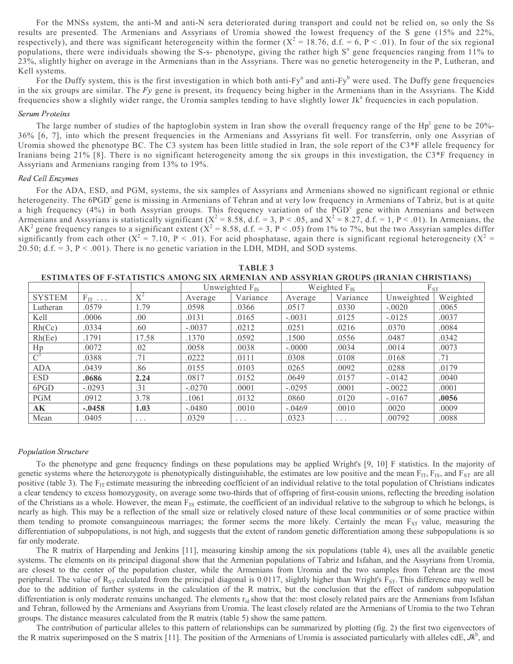For the MNSs system, the anti-M and anti-N sera deteriorated during transport and could not be relied on, so only the Ss results are presented. The Armenians and Assyrians of Uromia showed the lowest frequency of the S gene (15% and 22%, respectively), and there was significant heterogeneity within the former  $(X^2 = 18.76, d.f. = 6, P < .01)$ . In four of the six regional populations, there were individuals showing the S-s- phenotype, giving the rather high S<sup>u</sup> gene frequencies ranging from 11% to 23%, slightly higher on average in the Armenians than in the Assyrians. There was no genetic heterogeneity in the P, Lutheran, and Kell systems.

For the Duffy system, this is the first investigation in which both anti-Fy<sup>a</sup> and anti-Fy<sup>b</sup> were used. The Duffy gene frequencies in the six groups are similar. The  $Fy$  gene is present, its frequency being higher in the Armenians than in the Assyrians. The Kidd frequencies show a slightly wider range, the Uromia samples tending to have slightly lower Jk<sup>a</sup> frequencies in each population.

### - -

The large number of studies of the haptoglobin system in Iran show the overall frequency range of the  $Hp^1$  gene to be 20%-36% [6, 7], into which the present frequencies in the Armenians and Assyrians fit well. For transferrin, only one Assyrian of Uromia showed the phenotype BC. The C3 system has been little studied in Iran, the sole report of the C3\*F allele frequency for Iranians being 21% [8]. There is no significant heterogeneity among the six groups in this investigation, the C3\*F frequency in Assyrians and Armenians ranging from 13% to 19%.

### - - -

For the ADA, ESD, and PGM, systems, the six samples of Assyrians and Armenians showed no significant regional or ethnic heterogeneity. The 6PGD<sup>c</sup> gene is missing in Armenians of Tehran and at very low frequency in Armenians of Tabriz, but is at quite a high frequency (4%) in both Assyrian groups. This frequency variation of the PGD<sup>c</sup> gene within Armenians and between Armenians and Assyrians is statistically significant ( $X^2 = 8.58$ , d.f. = 3, P < .05, and  $X^2 = 8.27$ , d.f. = 1, P < .01). In Armenians, the AK<sup>2</sup> gene frequency ranges to a significant extent ( $X^2 = 8.58$ , d.f. = 3, P < .05) from 1% to 7%, but the two Assyrian samples differ significantly from each other  $(X^2 = 7.10, P < .01)$ . For acid phosphatase, again there is significant regional heterogeneity  $(X^2 = 1.10, P < .01)$ . 20.50; d.f.  $= 3$ ,  $P < .001$ ). There is no genetic variation in the LDH, MDH, and SOD systems.

| ESTIMATES UP P-STATISTICS AMUNU SIA ARMENIAN AND ASSTRIAN URUUTS (IRANIAN CHRISTIANS) |                 |          |                     |                      |          |                   |            |          |  |  |
|---------------------------------------------------------------------------------------|-----------------|----------|---------------------|----------------------|----------|-------------------|------------|----------|--|--|
|                                                                                       |                 |          | Unweighted $F_{IS}$ |                      |          | Weighted $F_{IS}$ | $F_{ST}$   |          |  |  |
| <b>SYSTEM</b>                                                                         | $F_{IT} \ldots$ | $X^2$    | Average             | Variance             | Average  | Variance          | Unweighted | Weighted |  |  |
| Lutheran                                                                              | .0579           | 1.79     | .0598               | .0366                | .0517    | .0330             | $-.0020$   | .0065    |  |  |
| Kell                                                                                  | .0006           | .00.     | .0131               | .0165                | $-.0031$ | .0125             | $-.0125$   | .0037    |  |  |
| Rh(Cc)                                                                                | .0334           | .60      | $-.0037$            | .0212                | .0251    | .0216             | .0370      | .0084    |  |  |
| Rh(Ee)                                                                                | .1791           | 17.58    | .1370               | .0592                | .1500    | .0556             | .0487      | .0342    |  |  |
| Hp                                                                                    | .0072           | .02      | .0058               | .0038                | $-.0000$ | .0034             | .0014      | .0073    |  |  |
| $\overline{C}^3$                                                                      | .0388           | .71      | .0222               | .0111                | .0308    | .0108             | .0168      | .71      |  |  |
| <b>ADA</b>                                                                            | .0439           | .86      | .0155               | .0103                | .0265    | .0092             | .0288      | .0179    |  |  |
| <b>ESD</b>                                                                            | .0686           | 2.24     | .0817               | .0152                | .0649    | .0157             | $-0.0142$  | .0040    |  |  |
| 6PGD                                                                                  | $-.0293$        | .31      | $-.0270$            | .0001                | $-.0295$ | .0001             | $-.0022$   | .0001    |  |  |
| <b>PGM</b>                                                                            | .0912           | 3.78     | .1061               | .0132                | .0860    | .0120             | $-.0167$   | .0056    |  |  |
| AK                                                                                    | $-.0458$        | 1.03     | $-.0480$            | .0010                | $-.0469$ | .0010             | .0020      | .0009    |  |  |
| Mean                                                                                  | .0405           | $\cdots$ | .0329               | $\sim$ $\sim$ $\sim$ | .0323    | $\cdots$          | .00792     | .0088    |  |  |

TABLE 3 ESTIMATES OF F-STATISTICS AMONG SIX ARMENIAN AND ASSYRIAN GROUPS (IRANIAN CHRISTIANS)

### -

To the phenotype and gene frequency findings on these populations may be applied Wright's [9, 10] F statistics. In the majority of genetic systems where the heterozygote is phenotypically distinguishable, the estimates are low positive and the mean  $F_{IT}$ ,  $F_{IS}$ , and  $F_{ST}$  are all positive (table 3). The  $F_{IT}$  estimate measuring the inbreeding coefficient of an individual relative to the total population of Christians indicates a clear tendency to excess homozygosity, on average some two-thirds that of offspring of first-cousin unions, reflecting the breeding isolation of the Christians as a whole. However, the mean  $F_{IS}$  estimate, the coefficient of an individual relative to the subgroup to which he belongs, is nearly as high. This may be a reflection of the small size or relatively closed nature of these local communities or of some practice within them tending to promote consanguineous marriages; the former seems the more likely. Certainly the mean  $F_{ST}$  value, measuring the differentiation of subpopulations, is not high, and suggests that the extent of random genetic differentiation among these subpopulations is so far only moderate.

The R matrix of Harpending and Jenkins [11], measuring kinship among the six populations (table 4), uses all the available genetic systems. The elements on its principal diagonal show that the Armenian populations of Tabriz and Isfahan, and the Assyrians from Uromia, are closest to the center of the population cluster, while the Armenians from Uromia and the two samples from Tehran are the most peripheral. The value of  $R_{ST}$  calculated from the principal diagonal is 0.0117, slightly higher than Wright's  $F_{ST}$ . This difference may well be due to the addition of further systems in the calculation of the R matrix, but the conclusion that the effect of random subpopulation differentiation is only moderate remains unchanged. The elements r<sub>id</sub> show that the: most closely related pairs are the Armenians from Isfahan and Tehran, followed by the Armenians and Assyrians from Uromia. The least closely related are the Armenians of Uromia to the two Tehran groups. The distance measures calculated from the R matrix (table 5) show the same pattern.

The contribution of particular alleles to this pattern of relationships can be summarized by plotting (fig. 2) the first two eigenvectors of the R matrix superimposed on the S matrix [11]. The position of the Armenians of Uromia is associated particularly with alleles cdE,  $Jk^b$ , and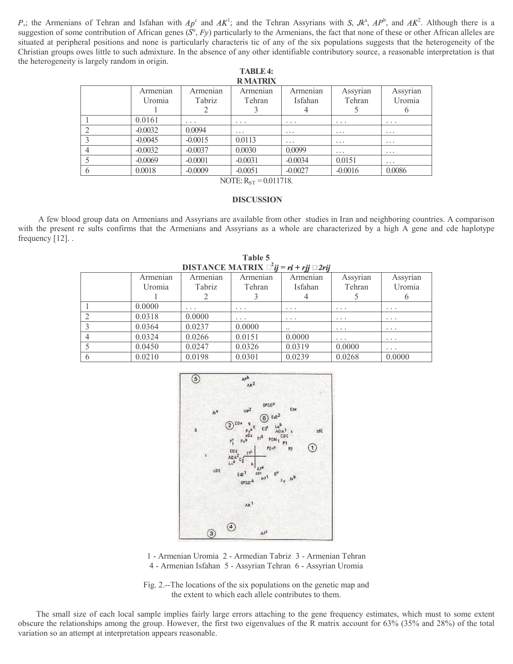P<sub>i</sub>; the Armenians of Tehran and Isfahan with  $Ap^c$  and  $AK^1$ ; and the Tehran Assyrians with S,  $Jk^a$ ,  $AP^b$ , and  $AK^2$ . Although there is a suggestion of some contribution of African genes  $(S^u, Fy)$  particularly to the Armenians, the fact that none of these or other African alleles are situated at peripheral positions and none is particularly characteris tic of any of the six populations suggests that the heterogeneity of the Christian groups owes little to such admixture. In the absence of any other identifiable contributory source, a reasonable interpretation is that the heterogeneity is largely random in origin.

TABLE 4:

|               |                    |                         | IADLE4:<br><b>RMATRIX</b> |                     |                         |                         |
|---------------|--------------------|-------------------------|---------------------------|---------------------|-------------------------|-------------------------|
|               | Armenian<br>Uromia | Armenian<br>Tabriz      | Armenian<br>Tehran        | Armenian<br>Isfahan | Assyrian<br>Tehran      | Assyrian<br>Uromia<br>O |
|               | 0.0161             | $\cdot$ $\cdot$ $\cdot$ | $\cdot$ $\cdot$ $\cdot$   | $\cdots$            | $\cdot$ $\cdot$ $\cdot$ | $\cdots$                |
|               | $-0.0032$          | 0.0094                  | $\cdots$                  | $\cdots$            | $\cdots$                | $\cdots$                |
|               | $-0.0045$          | $-0.0015$               | 0.0113                    | $\cdots$            | $\cdots$                | $\cdots$                |
|               | $-0.0032$          | $-0.0037$               | 0.0030                    | 0.0099              | $\cdot$ $\cdot$ $\cdot$ | $\cdots$                |
|               | $-0.0069$          | $-0.0001$               | $-0.0031$                 | $-0.0034$           | 0.0151                  | $\cdot$ $\cdot$ $\cdot$ |
| $\mathfrak b$ | 0.0018             | $-0.0009$               | $-0.0051$                 | $-0.0027$           | $-0.0016$               | 0.0086                  |

NOTE:  $R_{ST} = 0.011718$ .

# **DISCUSSION**

 A few blood group data on Armenians and Assyrians are available from other studies in Iran and neighboring countries. A comparison with the present re sults confirms that the Armenians and Assyrians as a whole are characterized by a high A gene and cde haplotype frequency [12]. .

| <b>DISTANCE MATRIX</b> $^{2}$ <b>i</b> $j = ri + rjj \square 2rij$ |          |                         |                         |           |                         |                         |  |  |  |  |
|--------------------------------------------------------------------|----------|-------------------------|-------------------------|-----------|-------------------------|-------------------------|--|--|--|--|
|                                                                    | Armenian | Armenian                | Armenian                | Armenian  | Assyrian                | Assyrian                |  |  |  |  |
|                                                                    | Uromia   | Tabriz                  | Tehran                  | Isfahan   | Tehran                  | Uromia                  |  |  |  |  |
|                                                                    |          |                         |                         |           |                         |                         |  |  |  |  |
|                                                                    | 0.0000   | $\cdot$ $\cdot$ $\cdot$ | $\cdot$ $\cdot$ $\cdot$ | $\cdots$  | $\cdot$ $\cdot$ $\cdot$ | $\cdot$ $\cdot$ $\cdot$ |  |  |  |  |
|                                                                    | 0.0318   | 0.0000                  | $\cdot$ $\cdot$ $\cdot$ | $\cdots$  | $\cdots$                | $\cdots$                |  |  |  |  |
|                                                                    | 0.0364   | 0.0237                  | 0.0000                  | $\ddotsc$ | $\cdot$ $\cdot$ $\cdot$ | $\cdots$                |  |  |  |  |
|                                                                    | 0.0324   | 0.0266                  | 0.0151                  | 0.0000    | $\cdots$                | $\cdots$                |  |  |  |  |
|                                                                    | 0.0450   | 0.0247                  | 0.0326                  | 0.0319    | 0.0000                  | $\cdots$                |  |  |  |  |
| 6                                                                  | 0.0210   | 0.0198                  | 0.0301                  | 0.0239    | 0.0268                  | 0.0000                  |  |  |  |  |

Table 5



<sup>1 -</sup> Armenian Uromia 2 - Armedian Tabriz 3 - Armenian Tehran 4 - Armenian Isfahan 5 - Assyrian Tehran 6 - Assyrian Uromia

Fig. 2.--The locations of the six populations on the genetic map and the extent to which each allele contributes to them.

The small size of each local sample implies fairly large errors attaching to the gene frequency estimates, which must to some extent obscure the relationships among the group. However, the first two eigenvalues of the R matrix account for 63% (35% and 28%) of the total variation so an attempt at interpretation appears reasonable.